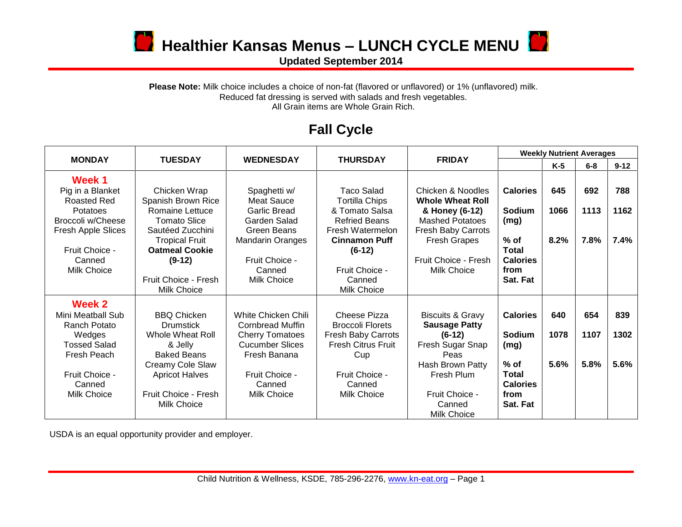

**D** Healthier Kansas Menus – LUNCH CYCLE MENU

**Updated September 2014**

## Please Note: Milk choice includes a choice of non-fat (flavored or unflavored) or 1% (unflavored) milk. Reduced fat dressing is served with salads and fresh vegetables. All Grain items are Whole Grain Rich.

## **Fall Cycle**

|                     | <b>TUESDAY</b>        | <b>WEDNESDAY</b>           | <b>THURSDAY</b>           | <b>FRIDAY</b>               | <b>Weekly Nutrient Averages</b> |       |         |          |
|---------------------|-----------------------|----------------------------|---------------------------|-----------------------------|---------------------------------|-------|---------|----------|
| <b>MONDAY</b>       |                       |                            |                           |                             |                                 | $K-5$ | $6 - 8$ | $9 - 12$ |
| Week 1              |                       |                            |                           |                             |                                 |       |         |          |
| Pig in a Blanket    | Chicken Wrap          | Spaghetti w/               | Taco Salad                | Chicken & Noodles           | <b>Calories</b>                 | 645   | 692     | 788      |
| Roasted Red         | Spanish Brown Rice    | <b>Meat Sauce</b>          | <b>Tortilla Chips</b>     | <b>Whole Wheat Roll</b>     |                                 |       |         |          |
| Potatoes            | Romaine Lettuce       | <b>Garlic Bread</b>        | & Tomato Salsa            | & Honey (6-12)              | <b>Sodium</b>                   | 1066  | 1113    | 1162     |
| Broccoli w/Cheese   | <b>Tomato Slice</b>   | Garden Salad               | <b>Refried Beans</b>      | <b>Mashed Potatoes</b>      | (mg)                            |       |         |          |
| Fresh Apple Slices  | Sautéed Zucchini      | Green Beans                | Fresh Watermelon          | Fresh Baby Carrots          |                                 |       |         |          |
|                     | <b>Tropical Fruit</b> | <b>Mandarin Oranges</b>    | <b>Cinnamon Puff</b>      | <b>Fresh Grapes</b>         | $%$ of                          | 8.2%  | 7.8%    | 7.4%     |
| Fruit Choice -      | <b>Oatmeal Cookie</b> |                            | $(6-12)$                  |                             | Total                           |       |         |          |
| Canned              | $(9-12)$              | Fruit Choice -             |                           | Fruit Choice - Fresh        | <b>Calories</b>                 |       |         |          |
| Milk Choice         |                       | Canned                     | Fruit Choice -            | Milk Choice                 | from                            |       |         |          |
|                     | Fruit Choice - Fresh  | Milk Choice                | Canned                    |                             | Sat. Fat                        |       |         |          |
|                     | Milk Choice           |                            | Milk Choice               |                             |                                 |       |         |          |
| Week 2              |                       |                            |                           |                             |                                 |       |         |          |
| Mini Meatball Sub   | <b>BBQ Chicken</b>    | <b>White Chicken Chili</b> | Cheese Pizza              | <b>Biscuits &amp; Gravy</b> | <b>Calories</b>                 | 640   | 654     | 839      |
| Ranch Potato        | <b>Drumstick</b>      | <b>Cornbread Muffin</b>    | <b>Broccoli Florets</b>   | <b>Sausage Patty</b>        |                                 |       |         |          |
| Wedges              | Whole Wheat Roll      | <b>Cherry Tomatoes</b>     | <b>Fresh Baby Carrots</b> | $(6-12)$                    | <b>Sodium</b>                   | 1078  | 1107    | 1302     |
| <b>Tossed Salad</b> | & Jelly               | <b>Cucumber Slices</b>     | <b>Fresh Citrus Fruit</b> | Fresh Sugar Snap            | (mg)                            |       |         |          |
| Fresh Peach         | <b>Baked Beans</b>    | Fresh Banana               | Cup                       | Peas                        |                                 |       |         |          |
|                     | Creamy Cole Slaw      |                            |                           | Hash Brown Patty            | $%$ of                          | 5.6%  | 5.8%    | 5.6%     |
| Fruit Choice -      | <b>Apricot Halves</b> | Fruit Choice -             | Fruit Choice -            | Fresh Plum                  | <b>Total</b>                    |       |         |          |
| Canned              |                       | Canned                     | Canned                    |                             | <b>Calories</b>                 |       |         |          |
| Milk Choice         | Fruit Choice - Fresh  | Milk Choice                | Milk Choice               | Fruit Choice -              | from                            |       |         |          |
|                     | Milk Choice           |                            |                           | Canned                      | Sat. Fat                        |       |         |          |
|                     |                       |                            |                           | Milk Choice                 |                                 |       |         |          |

USDA is an equal opportunity provider and employer.